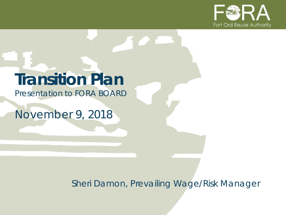

## **Transition Plan**

*Presentation to FORA BOARD*

*November 9, 2018*

*Sheri Damon, Prevailing Wage/Risk Manager*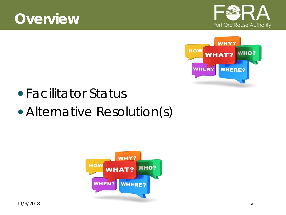





- Facilitator Status
- Alternative Resolution(s)

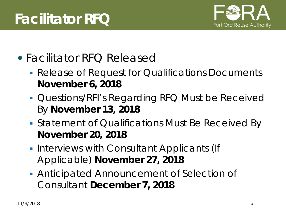

- Facilitator RFQ Released
	- **Release of Request for Qualifications Documents November 6, 2018**
	- **Questions/RFI's Regarding RFQ Must be Received** By **November 13, 2018**
	- **Statement of Qualifications Must Be Received By November 20, 2018**
	- **Interviews with Consultant Applicants (If** Applicable) **November 27, 2018**
	- Anticipated Announcement of Selection of Consultant **December 7, 2018**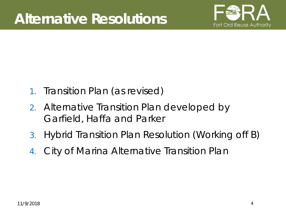

- 1. Transition Plan (as revised)
- 2. Alternative Transition Plan developed by Garfield, Haffa and Parker
- 3. Hybrid Transition Plan Resolution (Working off B)
- 4. City of Marina Alternative Transition Plan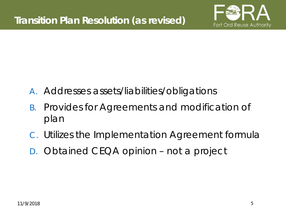

- A. Addresses assets/liabilities/obligations
- B. Provides for Agreements and modification of plan
- C. Utilizes the Implementation Agreement formula
- D. Obtained CEQA opinion not a project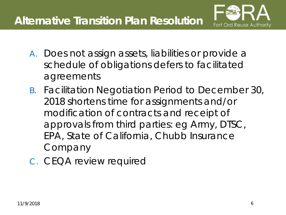

- A. Does not assign assets, liabilities or provide a schedule of obligations defers to facilitated agreements
- B. Facilitation Negotiation Period to December 30, 2018 shortens time for assignments and/or modification of contracts and receipt of approvals from third parties: eg Army, DTSC, EPA, State of California, Chubb Insurance Company
- C. CEQA review required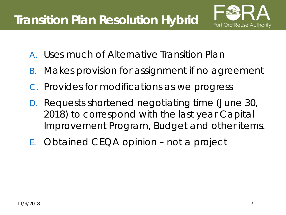

- A. Uses much of Alternative Transition Plan
- B. Makes provision for assignment if no agreement
- C. Provides for modifications as we progress
- D. Requests shortened negotiating time (June 30, 2018) to correspond with the last year Capital Improvement Program, Budget and other items.
- E. Obtained CEQA opinion not a project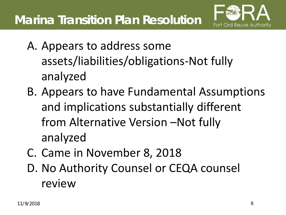

- A. Appears to address some assets/liabilities/obligations-Not fully analyzed
- B. Appears to have Fundamental Assumptions and implications substantially different from Alternative Version –Not fully analyzed
- C. Came in November 8, 2018
- D. No Authority Counsel or CEQA counsel review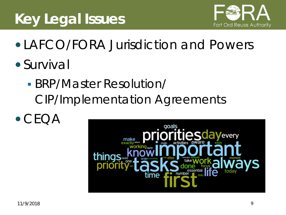## **Key Legal Issues**



- LAFCO/FORA Jurisdiction and Powers
- Survival
	- BRP/Master Resolution/ CIP/Implementation Agreements
- $\bullet$  CFOA

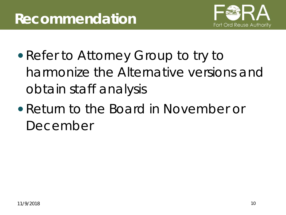

- Refer to Attorney Group to try to harmonize the Alternative versions and obtain staff analysis
- Return to the Board in November or December